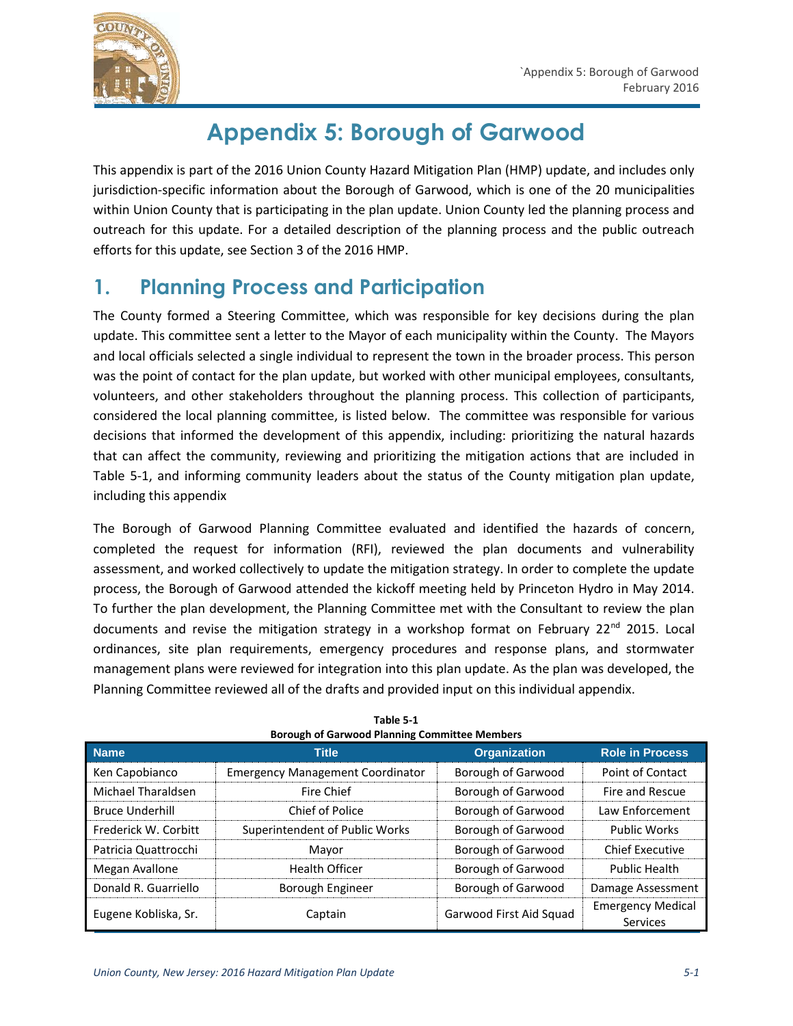

# **Appendix 5: Borough of Garwood**

This appendix is part of the 2016 Union County Hazard Mitigation Plan (HMP) update, and includes only jurisdiction-specific information about the Borough of Garwood, which is one of the 20 municipalities within Union County that is participating in the plan update. Union County led the planning process and outreach for this update. For a detailed description of the planning process and the public outreach efforts for this update, see Section 3 of the 2016 HMP.

# **1. Planning Process and Participation**

The County formed a Steering Committee, which was responsible for key decisions during the plan update. This committee sent a letter to the Mayor of each municipality within the County. The Mayors and local officials selected a single individual to represent the town in the broader process. This person was the point of contact for the plan update, but worked with other municipal employees, consultants, volunteers, and other stakeholders throughout the planning process. This collection of participants, considered the local planning committee, is listed below. The committee was responsible for various decisions that informed the development of this appendix, including: prioritizing the natural hazards that can affect the community, reviewing and prioritizing the mitigation actions that are included in Table 5-1, and informing community leaders about the status of the County mitigation plan update, including this appendix

The Borough of Garwood Planning Committee evaluated and identified the hazards of concern, completed the request for information (RFI), reviewed the plan documents and vulnerability assessment, and worked collectively to update the mitigation strategy. In order to complete the update process, the Borough of Garwood attended the kickoff meeting held by Princeton Hydro in May 2014. To further the plan development, the Planning Committee met with the Consultant to review the plan documents and revise the mitigation strategy in a workshop format on February  $22^{nd}$  2015. Local ordinances, site plan requirements, emergency procedures and response plans, and stormwater management plans were reviewed for integration into this plan update. As the plan was developed, the Planning Committee reviewed all of the drafts and provided input on this individual appendix.

| <b>Name</b>            | <b>Title</b>                            | <b>Organization</b>       | <b>Role in Process</b>               |
|------------------------|-----------------------------------------|---------------------------|--------------------------------------|
| Ken Capobianco         | <b>Emergency Management Coordinator</b> | Borough of Garwood        | Point of Contact                     |
| Michael Tharaldsen     | Fire Chief                              | Borough of Garwood        | Fire and Rescue                      |
| <b>Bruce Underhill</b> | Chief of Police                         | Borough of Garwood        | Law Enforcement                      |
| Frederick W. Corbitt   | Superintendent of Public Works          | Borough of Garwood        | <b>Public Works</b>                  |
| Patricia Quattrocchi   | Mayor                                   | Borough of Garwood        | <b>Chief Executive</b>               |
| Megan Avallone         | <b>Health Officer</b>                   | <b>Borough of Garwood</b> | <b>Public Health</b>                 |
| Donald R. Guarriello   | Borough Engineer                        | Borough of Garwood        | Damage Assessment                    |
| Eugene Kobliska, Sr.   | Captain                                 | Garwood First Aid Squad   | <b>Emergency Medical</b><br>Services |

**Table 5-1 Borough of Garwood Planning Committee Members**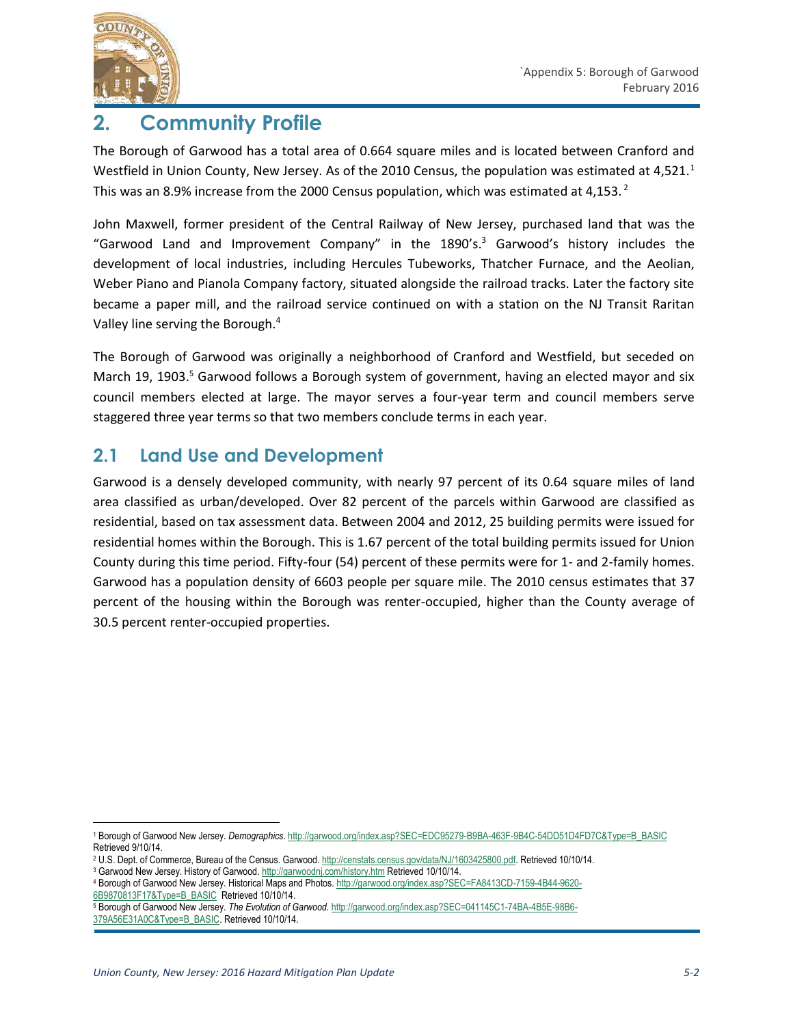

# **2. Community Profile**

The Borough of Garwood has a total area of 0.664 square miles and is located between Cranford and Westfield in Union County, New Jersey. As of the 2010 Census, the population was estimated at 4,521.<sup>1</sup> This was an 8.9% increase from the 2000 Census population, which was estimated at 4,153. $^2$ 

John Maxwell, former president of the Central Railway of New Jersey, purchased land that was the "Garwood Land and Improvement Company" in the 1890's. <sup>3</sup> Garwood's history includes the development of local industries, including Hercules Tubeworks, Thatcher Furnace, and the Aeolian, Weber Piano and Pianola Company factory, situated alongside the railroad tracks. Later the factory site became a paper mill, and the railroad service continued on with a station on the NJ Transit Raritan Valley line serving the Borough.<sup>4</sup>

The Borough of Garwood was originally a neighborhood of Cranford and Westfield, but seceded on March 19, 1903.<sup>5</sup> Garwood follows a Borough system of government, having an elected mayor and six council members elected at large. The mayor serves a four-year term and council members serve staggered three year terms so that two members conclude terms in each year.

## **2.1 Land Use and Development**

Garwood is a densely developed community, with nearly 97 percent of its 0.64 square miles of land area classified as urban/developed. Over 82 percent of the parcels within Garwood are classified as residential, based on tax assessment data. Between 2004 and 2012, 25 building permits were issued for residential homes within the Borough. This is 1.67 percent of the total building permits issued for Union County during this time period. Fifty-four (54) percent of these permits were for 1- and 2-family homes. Garwood has a population density of 6603 people per square mile. The 2010 census estimates that 37 percent of the housing within the Borough was renter-occupied, higher than the County average of 30.5 percent renter-occupied properties.

<sup>3</sup> Garwood New Jersey. History of Garwood. <http://garwoodnj.com/history.htm> Retrieved 10/10/14.

 $\overline{a}$ 

<sup>1</sup> Borough of Garwood New Jersey. *Demographics.* [http://garwood.org/index.asp?SEC=EDC95279-B9BA-463F-9B4C-54DD51D4FD7C&Type=B\\_BASIC](http://garwood.org/index.asp?SEC=EDC95279-B9BA-463F-9B4C-54DD51D4FD7C&Type=B_BASIC) Retrieved 9/10/14.

<sup>2</sup> U.S. Dept. of Commerce, Bureau of the Census. Garwood[. http://censtats.census.gov/data/NJ/1603425800.pdf.](http://censtats.census.gov/data/NJ/1603425800.pdf) Retrieved 10/10/14.

<sup>4</sup> Borough of Garwood New Jersey. Historical Maps and Photos[. http://garwood.org/index.asp?SEC=FA8413CD-7159-4B44-9620-](http://garwood.org/index.asp?SEC=FA8413CD-7159-4B44-9620-6B9870813F17&Type=B_BASIC) [6B9870813F17&Type=B\\_BASIC](http://garwood.org/index.asp?SEC=FA8413CD-7159-4B44-9620-6B9870813F17&Type=B_BASIC) Retrieved 10/10/14.

<sup>5</sup> Borough of Garwood New Jersey. *The Evolution of Garwood.* [http://garwood.org/index.asp?SEC=041145C1-74BA-4B5E-98B6-](http://garwood.org/index.asp?SEC=041145C1-74BA-4B5E-98B6-379A56E31A0C&Type=B_BASIC) [379A56E31A0C&Type=B\\_BASIC.](http://garwood.org/index.asp?SEC=041145C1-74BA-4B5E-98B6-379A56E31A0C&Type=B_BASIC) Retrieved 10/10/14.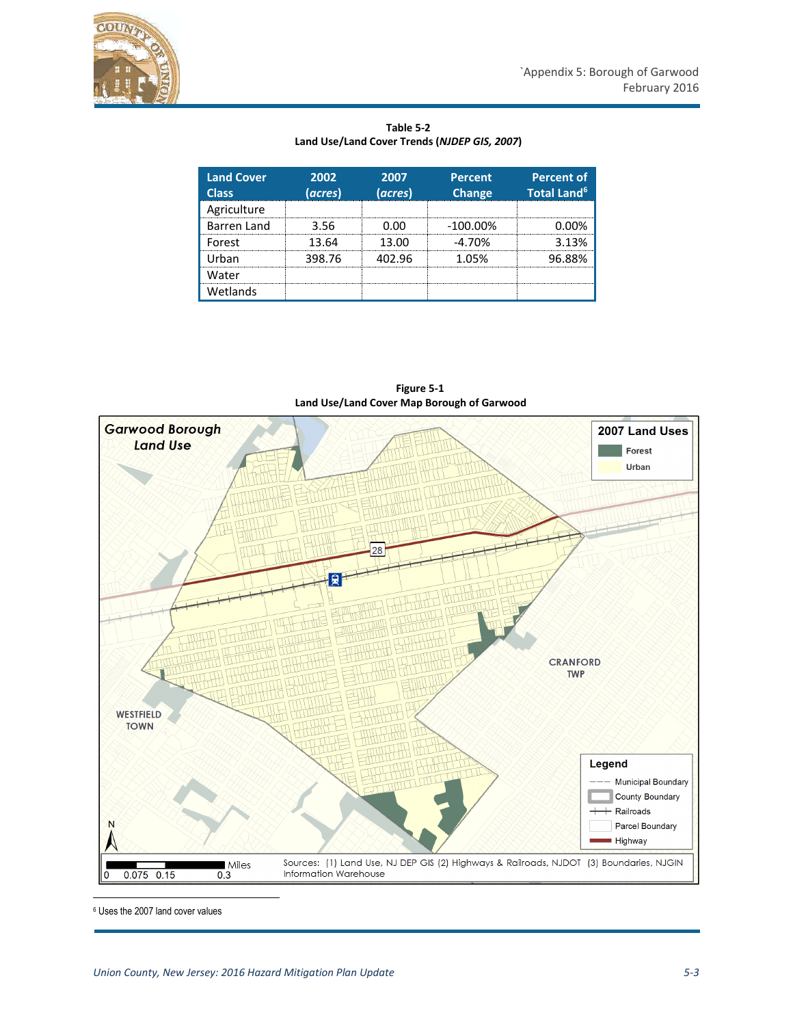Wetlands

| <b>Land Cover</b><br><b>Class</b> | 2002<br>(acres) | 2007<br>(acres) | <b>Percent</b><br><b>Change</b> | <b>Percent of</b><br><b>Total Land<sup>6</sup></b> |
|-----------------------------------|-----------------|-----------------|---------------------------------|----------------------------------------------------|
| Agriculture                       |                 |                 |                                 |                                                    |
| <b>Barren Land</b>                | 3 56            | n nn            | $-100.00\%$                     |                                                    |
| Forest                            | 13.64           | 13.00           | $-4.70%$                        | 3 13%                                              |
| Urban                             | 398.76          | 402 96          | 1 በ5%                           | 96.88%                                             |
| Water                             |                 |                 |                                 |                                                    |

**Table 5-2 Land Use/Land Cover Trends (***NJDEP GIS, 2007***)**



 **Figure 5-1 Land Use/Land Cover Map Borough of Garwood**

<sup>6</sup> Uses the 2007 land cover values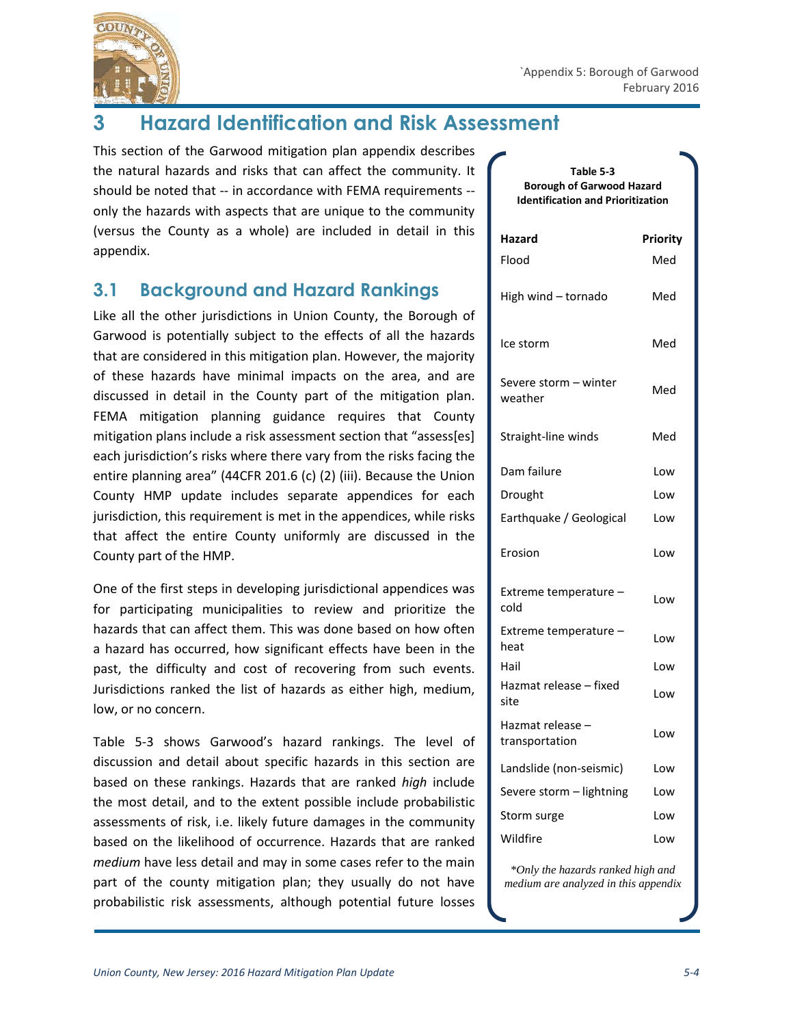

# **3 Hazard Identification and Risk Assessment**

This section of the Garwood mitigation plan appendix describes the natural hazards and risks that can affect the community. It should be noted that -- in accordance with FEMA requirements - only the hazards with aspects that are unique to the community (versus the County as a whole) are included in detail in this appendix.

### **3.1 Background and Hazard Rankings**

Like all the other jurisdictions in Union County, the Borough of Garwood is potentially subject to the effects of all the hazards that are considered in this mitigation plan. However, the majority of these hazards have minimal impacts on the area, and are discussed in detail in the County part of the mitigation plan. FEMA mitigation planning guidance requires that County mitigation plans include a risk assessment section that "assess[es] each jurisdiction's risks where there vary from the risks facing the entire planning area" (44CFR 201.6 (c) (2) (iii). Because the Union County HMP update includes separate appendices for each jurisdiction, this requirement is met in the appendices, while risks that affect the entire County uniformly are discussed in the County part of the HMP.

One of the first steps in developing jurisdictional appendices was for participating municipalities to review and prioritize the hazards that can affect them. This was done based on how often a hazard has occurred, how significant effects have been in the past, the difficulty and cost of recovering from such events. Jurisdictions ranked the list of hazards as either high, medium, low, or no concern.

Table 5-3 shows Garwood's hazard rankings. The level of discussion and detail about specific hazards in this section are based on these rankings. Hazards that are ranked *high* include the most detail, and to the extent possible include probabilistic assessments of risk, i.e. likely future damages in the community based on the likelihood of occurrence. Hazards that are ranked *medium* have less detail and may in some cases refer to the main part of the county mitigation plan; they usually do not have probabilistic risk assessments, although potential future losses

| Table 5-3<br><b>Borough of Garwood Hazard</b><br><b>Identification and Prioritization</b> |          |  |
|-------------------------------------------------------------------------------------------|----------|--|
| Hazard                                                                                    | Priority |  |
| Flood                                                                                     | Med      |  |
| High wind - tornado                                                                       | Med      |  |
| Ice storm                                                                                 | Med      |  |
| Severe storm – winter<br>weather                                                          | Med      |  |
| Straight-line winds                                                                       | Med      |  |
| Dam failure                                                                               | Low      |  |
| Drought                                                                                   | Low      |  |
| Earthquake / Geological                                                                   | Low      |  |
| Erosion                                                                                   | Low      |  |
| Extreme temperature -<br>cold                                                             | Low      |  |
| Extreme temperature -<br>heat                                                             | Low      |  |
| Hail                                                                                      | Low      |  |
| Hazmat release - fixed<br>site                                                            | Low      |  |
| Hazmat release –<br>transportation                                                        | Low      |  |
| Landslide (non-seismic)                                                                   | Low      |  |
| Severe storm - lightning                                                                  | Low      |  |
| Storm surge                                                                               | Low      |  |
| Wildfire                                                                                  | Low      |  |
|                                                                                           |          |  |

*\*Only the hazards ranked high and medium are analyzed in this appendix*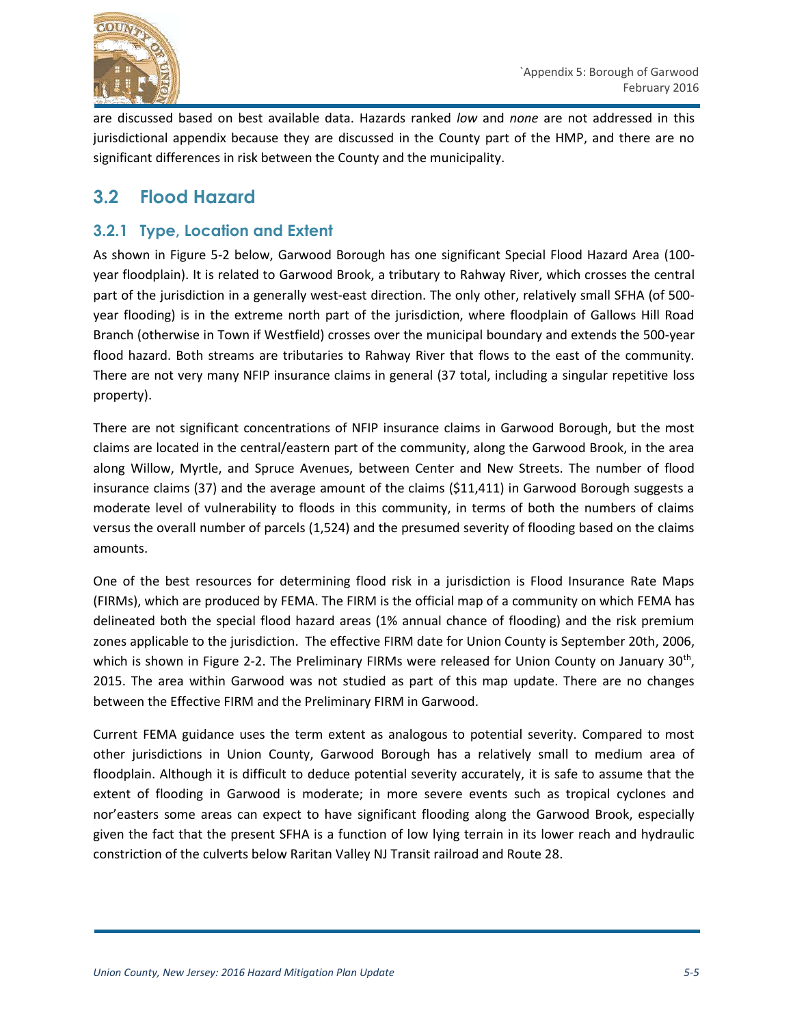

are discussed based on best available data. Hazards ranked *low* and *none* are not addressed in this jurisdictional appendix because they are discussed in the County part of the HMP, and there are no significant differences in risk between the County and the municipality.

### **3.2 Flood Hazard**

#### **3.2.1 Type, Location and Extent**

As shown in Figure 5-2 below, Garwood Borough has one significant Special Flood Hazard Area (100 year floodplain). It is related to Garwood Brook, a tributary to Rahway River, which crosses the central part of the jurisdiction in a generally west-east direction. The only other, relatively small SFHA (of 500 year flooding) is in the extreme north part of the jurisdiction, where floodplain of Gallows Hill Road Branch (otherwise in Town if Westfield) crosses over the municipal boundary and extends the 500-year flood hazard. Both streams are tributaries to Rahway River that flows to the east of the community. There are not very many NFIP insurance claims in general (37 total, including a singular repetitive loss property).

There are not significant concentrations of NFIP insurance claims in Garwood Borough, but the most claims are located in the central/eastern part of the community, along the Garwood Brook, in the area along Willow, Myrtle, and Spruce Avenues, between Center and New Streets. The number of flood insurance claims (37) and the average amount of the claims (\$11,411) in Garwood Borough suggests a moderate level of vulnerability to floods in this community, in terms of both the numbers of claims versus the overall number of parcels (1,524) and the presumed severity of flooding based on the claims amounts.

One of the best resources for determining flood risk in a jurisdiction is Flood Insurance Rate Maps (FIRMs), which are produced by FEMA. The FIRM is the official map of a community on which FEMA has delineated both the special flood hazard areas (1% annual chance of flooding) and the risk premium zones applicable to the jurisdiction. The effective FIRM date for Union County is September 20th, 2006, which is shown in Figure 2-2. The Preliminary FIRMs were released for Union County on January 30<sup>th</sup>, 2015. The area within Garwood was not studied as part of this map update. There are no changes between the Effective FIRM and the Preliminary FIRM in Garwood.

Current FEMA guidance uses the term extent as analogous to potential severity. Compared to most other jurisdictions in Union County, Garwood Borough has a relatively small to medium area of floodplain. Although it is difficult to deduce potential severity accurately, it is safe to assume that the extent of flooding in Garwood is moderate; in more severe events such as tropical cyclones and nor'easters some areas can expect to have significant flooding along the Garwood Brook, especially given the fact that the present SFHA is a function of low lying terrain in its lower reach and hydraulic constriction of the culverts below Raritan Valley NJ Transit railroad and Route 28.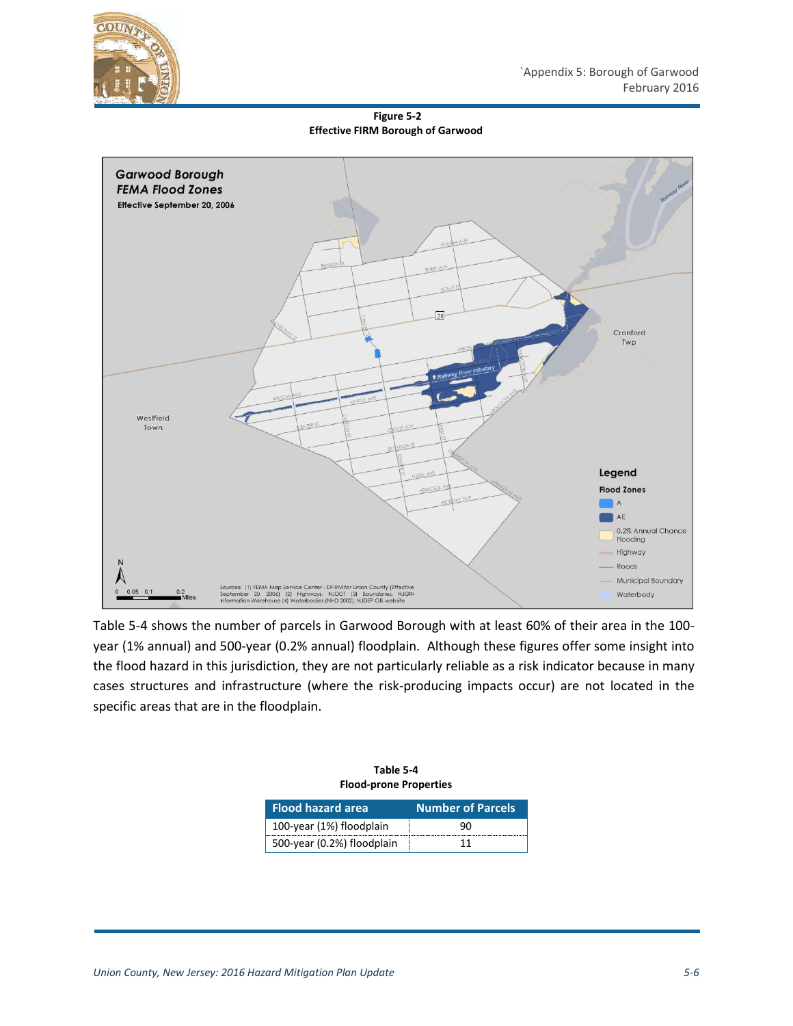

**Figure 5-2 Effective FIRM Borough of Garwood**



Table 5-4 shows the number of parcels in Garwood Borough with at least 60% of their area in the 100 year (1% annual) and 500-year (0.2% annual) floodplain. Although these figures offer some insight into the flood hazard in this jurisdiction, they are not particularly reliable as a risk indicator because in many cases structures and infrastructure (where the risk-producing impacts occur) are not located in the specific areas that are in the floodplain.

| Table 5-4                     |
|-------------------------------|
| <b>Flood-prone Properties</b> |

| <b>Flood hazard area</b>   | <b>Number of Parcels</b> |  |
|----------------------------|--------------------------|--|
| 100-year (1%) floodplain   | 90                       |  |
| 500-year (0.2%) floodplain | 11                       |  |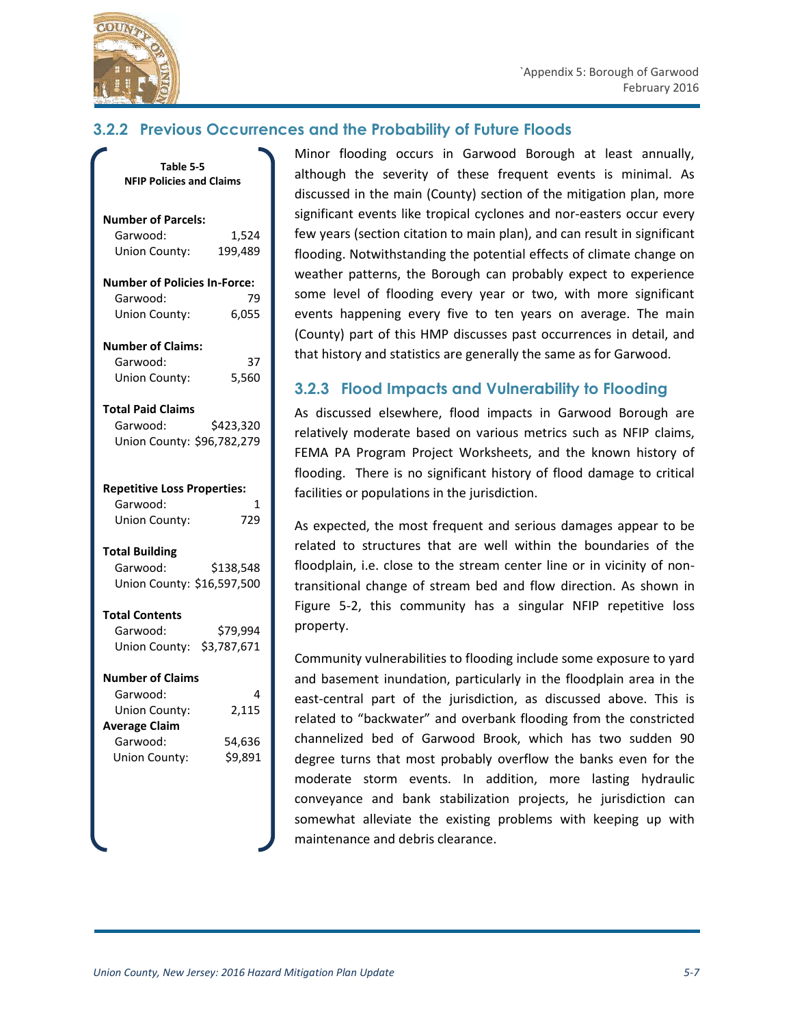

#### **3.2.2 Previous Occurrences and the Probability of Future Floods**

| Table 5-5                           |           |
|-------------------------------------|-----------|
| <b>NFIP Policies and Claims</b>     |           |
|                                     |           |
|                                     |           |
| <b>Number of Parcels:</b>           |           |
| Garwood:                            | 1,524     |
| Union County:                       | 199,489   |
| <b>Number of Policies In-Force:</b> |           |
| Garwood:                            | 79        |
| Union County:                       | 6,055     |
| <b>Number of Claims:</b>            |           |
| Garwood:                            | 37        |
| Union County:                       | 5,560     |
|                                     |           |
| <b>Total Paid Claims</b>            |           |
| Garwood:                            | \$423,320 |
| Union County: \$96,782,279          |           |
|                                     |           |
| <b>Repetitive Loss Properties:</b>  |           |
| Garwood:                            | 1         |
|                                     | 729       |
| Union County:                       |           |
| <b>Total Building</b>               |           |
| Garwood:                            | \$138,548 |
| Union County: \$16,597,500          |           |
|                                     |           |
| <b>Total Contents</b>               |           |
| Garwood:                            | \$79,994  |
| Union County: \$3,787,671           |           |
| <b>Number of Claims</b>             |           |
| Garwood:                            | 4         |
| Union County:                       | 2,115     |
| verage Claim                        |           |
| Garwood:                            | 54,636    |
|                                     |           |
| Union County:                       | \$9,891   |
|                                     |           |
|                                     |           |
|                                     |           |
|                                     |           |

Minor flooding occurs in Garwood Borough at least annually, although the severity of these frequent events is minimal. As discussed in the main (County) section of the mitigation plan, more significant events like tropical cyclones and nor-easters occur every few years (section citation to main plan), and can result in significant flooding. Notwithstanding the potential effects of climate change on weather patterns, the Borough can probably expect to experience some level of flooding every year or two, with more significant events happening every five to ten years on average. The main (County) part of this HMP discusses past occurrences in detail, and that history and statistics are generally the same as for Garwood.

#### **3.2.3 Flood Impacts and Vulnerability to Flooding**

As discussed elsewhere, flood impacts in Garwood Borough are relatively moderate based on various metrics such as NFIP claims, FEMA PA Program Project Worksheets, and the known history of flooding. There is no significant history of flood damage to critical facilities or populations in the jurisdiction.

As expected, the most frequent and serious damages appear to be related to structures that are well within the boundaries of the floodplain, i.e. close to the stream center line or in vicinity of nontransitional change of stream bed and flow direction. As shown in Figure 5-2, this community has a singular NFIP repetitive loss property.

Community vulnerabilities to flooding include some exposure to yard and basement inundation, particularly in the floodplain area in the east-central part of the jurisdiction, as discussed above. This is related to "backwater" and overbank flooding from the constricted channelized bed of Garwood Brook, which has two sudden 90 degree turns that most probably overflow the banks even for the moderate storm events. In addition, more lasting hydraulic conveyance and bank stabilization projects, he jurisdiction can somewhat alleviate the existing problems with keeping up with maintenance and debris clearance.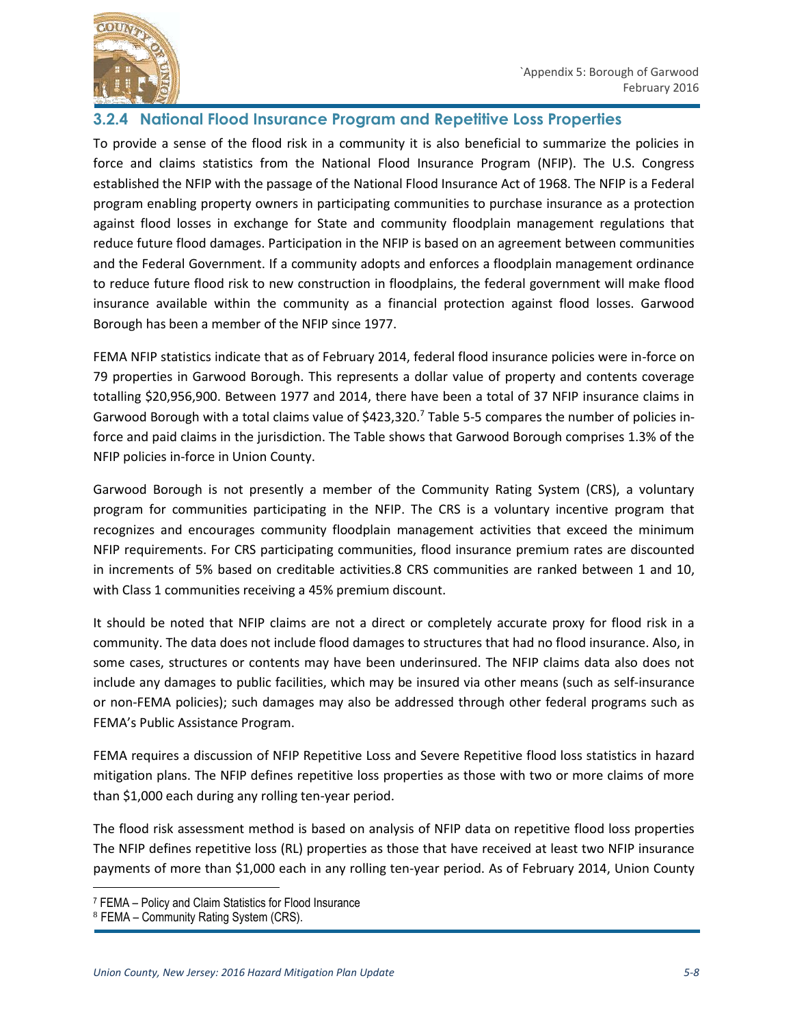



#### **3.2.4 National Flood Insurance Program and Repetitive Loss Properties**

To provide a sense of the flood risk in a community it is also beneficial to summarize the policies in force and claims statistics from the National Flood Insurance Program (NFIP). The U.S. Congress established the NFIP with the passage of the National Flood Insurance Act of 1968. The NFIP is a Federal program enabling property owners in participating communities to purchase insurance as a protection against flood losses in exchange for State and community floodplain management regulations that reduce future flood damages. Participation in the NFIP is based on an agreement between communities and the Federal Government. If a community adopts and enforces a floodplain management ordinance to reduce future flood risk to new construction in floodplains, the federal government will make flood insurance available within the community as a financial protection against flood losses. Garwood Borough has been a member of the NFIP since 1977.

FEMA NFIP statistics indicate that as of February 2014, federal flood insurance policies were in-force on 79 properties in Garwood Borough. This represents a dollar value of property and contents coverage totalling \$20,956,900. Between 1977 and 2014, there have been a total of 37 NFIP insurance claims in Garwood Borough with a total claims value of \$423,320.<sup>7</sup> Table 5-5 compares the number of policies inforce and paid claims in the jurisdiction. The Table shows that Garwood Borough comprises 1.3% of the NFIP policies in-force in Union County.

Garwood Borough is not presently a member of the Community Rating System (CRS), a voluntary program for communities participating in the NFIP. The CRS is a voluntary incentive program that recognizes and encourages community floodplain management activities that exceed the minimum NFIP requirements. For CRS participating communities, flood insurance premium rates are discounted in increments of 5% based on creditable activities.8 CRS communities are ranked between 1 and 10, with Class 1 communities receiving a 45% premium discount.

It should be noted that NFIP claims are not a direct or completely accurate proxy for flood risk in a community. The data does not include flood damages to structures that had no flood insurance. Also, in some cases, structures or contents may have been underinsured. The NFIP claims data also does not include any damages to public facilities, which may be insured via other means (such as self-insurance or non-FEMA policies); such damages may also be addressed through other federal programs such as FEMA's Public Assistance Program.

FEMA requires a discussion of NFIP Repetitive Loss and Severe Repetitive flood loss statistics in hazard mitigation plans. The NFIP defines repetitive loss properties as those with two or more claims of more than \$1,000 each during any rolling ten-year period.

The flood risk assessment method is based on analysis of NFIP data on repetitive flood loss properties The NFIP defines repetitive loss (RL) properties as those that have received at least two NFIP insurance payments of more than \$1,000 each in any rolling ten-year period. As of February 2014, Union County

 $\overline{a}$ 

<sup>7</sup> FEMA – Policy and Claim Statistics for Flood Insurance

<sup>8</sup> FEMA – Community Rating System (CRS).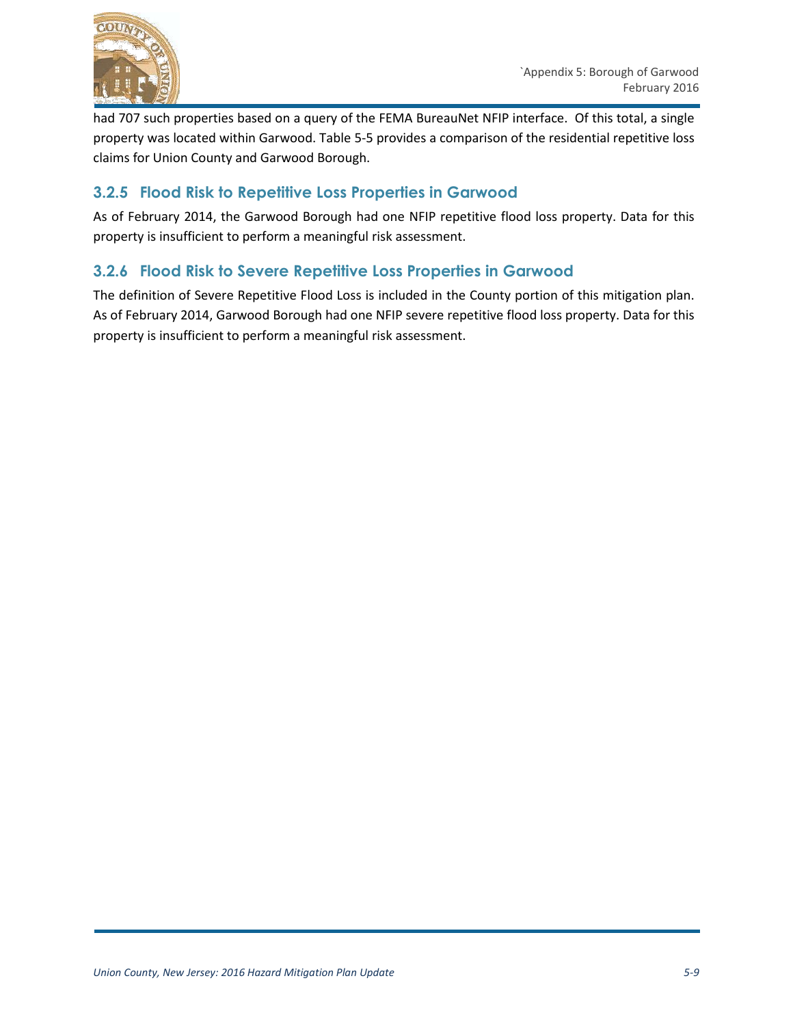

had 707 such properties based on a query of the FEMA BureauNet NFIP interface. Of this total, a single property was located within Garwood. Table 5-5 provides a comparison of the residential repetitive loss claims for Union County and Garwood Borough.

#### **3.2.5 Flood Risk to Repetitive Loss Properties in Garwood**

As of February 2014, the Garwood Borough had one NFIP repetitive flood loss property. Data for this property is insufficient to perform a meaningful risk assessment.

### **3.2.6 Flood Risk to Severe Repetitive Loss Properties in Garwood**

The definition of Severe Repetitive Flood Loss is included in the County portion of this mitigation plan. As of February 2014, Garwood Borough had one NFIP severe repetitive flood loss property. Data for this property is insufficient to perform a meaningful risk assessment.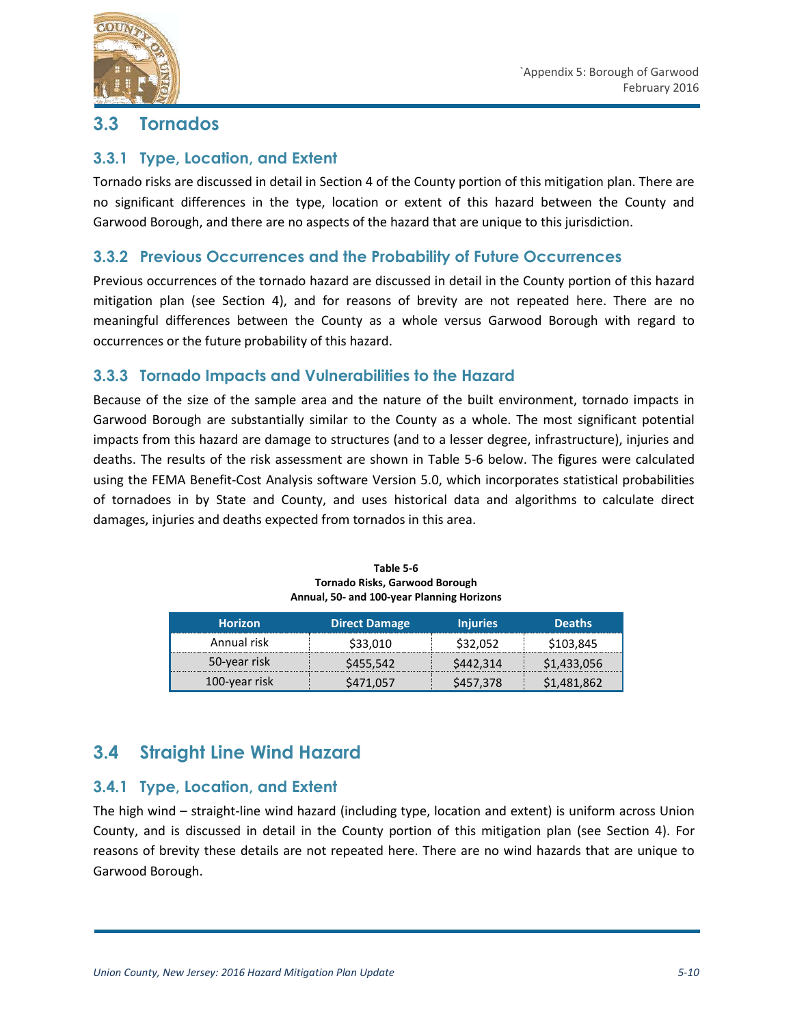

### **3.3 Tornados**

#### **3.3.1 Type, Location, and Extent**

Tornado risks are discussed in detail in Section 4 of the County portion of this mitigation plan. There are no significant differences in the type, location or extent of this hazard between the County and Garwood Borough, and there are no aspects of the hazard that are unique to this jurisdiction.

#### **3.3.2 Previous Occurrences and the Probability of Future Occurrences**

Previous occurrences of the tornado hazard are discussed in detail in the County portion of this hazard mitigation plan (see Section 4), and for reasons of brevity are not repeated here. There are no meaningful differences between the County as a whole versus Garwood Borough with regard to occurrences or the future probability of this hazard.

#### **3.3.3 Tornado Impacts and Vulnerabilities to the Hazard**

Because of the size of the sample area and the nature of the built environment, tornado impacts in Garwood Borough are substantially similar to the County as a whole. The most significant potential impacts from this hazard are damage to structures (and to a lesser degree, infrastructure), injuries and deaths. The results of the risk assessment are shown in Table 5-6 below. The figures were calculated using the FEMA Benefit-Cost Analysis software Version 5.0, which incorporates statistical probabilities of tornadoes in by State and County, and uses historical data and algorithms to calculate direct damages, injuries and deaths expected from tornados in this area.

| <b>Horizon</b> | <b>Direct Damage</b> | <b>Injuries</b> | <b>Deaths</b>            |
|----------------|----------------------|-----------------|--------------------------|
| Annual risk    | \$33,010             | \$32,052        | \$103,845                |
| 50-year risk   | \$455,542            | \$442,314       | \$1,433,056              |
| 100-year risk  | S471.057             | \$457,378       | $\nabla 1,481,862\nabla$ |

**Table 5-6 Tornado Risks, Garwood Borough Annual, 50- and 100-year Planning Horizons**

## **3.4 Straight Line Wind Hazard**

#### **3.4.1 Type, Location, and Extent**

The high wind – straight-line wind hazard (including type, location and extent) is uniform across Union County, and is discussed in detail in the County portion of this mitigation plan (see Section 4). For reasons of brevity these details are not repeated here. There are no wind hazards that are unique to Garwood Borough.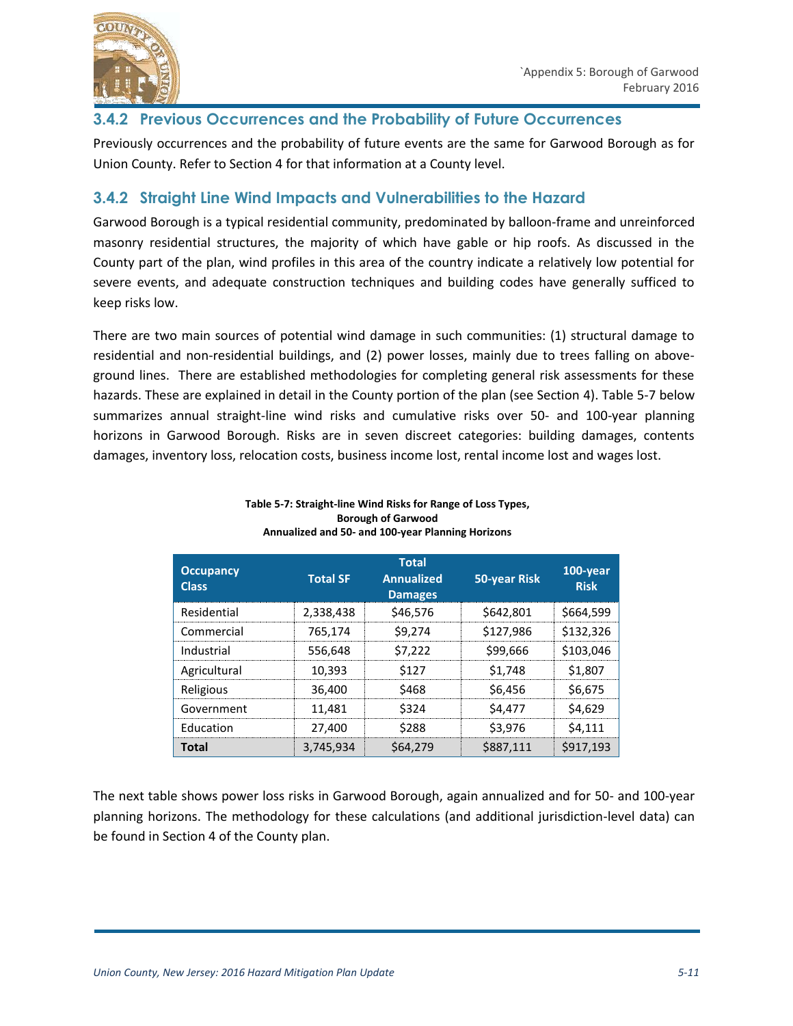

#### **3.4.2 Previous Occurrences and the Probability of Future Occurrences**

Previously occurrences and the probability of future events are the same for Garwood Borough as for Union County. Refer to Section 4 for that information at a County level.

#### **3.4.2 Straight Line Wind Impacts and Vulnerabilities to the Hazard**

Garwood Borough is a typical residential community, predominated by balloon-frame and unreinforced masonry residential structures, the majority of which have gable or hip roofs. As discussed in the County part of the plan, wind profiles in this area of the country indicate a relatively low potential for severe events, and adequate construction techniques and building codes have generally sufficed to keep risks low.

There are two main sources of potential wind damage in such communities: (1) structural damage to residential and non-residential buildings, and (2) power losses, mainly due to trees falling on aboveground lines. There are established methodologies for completing general risk assessments for these hazards. These are explained in detail in the County portion of the plan (see Section 4). Table 5-7 below summarizes annual straight-line wind risks and cumulative risks over 50- and 100-year planning horizons in Garwood Borough. Risks are in seven discreet categories: building damages, contents damages, inventory loss, relocation costs, business income lost, rental income lost and wages lost.

| <b>Occupancy</b><br><b>Class</b> | <b>Total SF</b> | <b>Total</b><br><b>Annualized</b><br><b>Damages</b> | <b>50-year Risk</b> | 100-year<br><b>Risk</b> |
|----------------------------------|-----------------|-----------------------------------------------------|---------------------|-------------------------|
| Residential                      | 2,338,438       | \$46.576                                            | \$642,801           | \$664.599               |
| Commercial                       | 765,174         | \$9.274                                             | \$127,986           | \$132.326               |
| Industrial                       | 556.648         | S7.222                                              | \$99,666            | \$103.046               |
| Agricultural                     | 10.393          | \$127                                               | S <sub>1.748</sub>  | \$1.807                 |
| Religious                        | 36.400          | 9468                                                | \$6.456             | \$6.675                 |
| Government                       | 11.481          | \$324                                               | \$4.477             | \$4.629                 |
| Education                        | 27.400          | \$288                                               | \$3.976             | S4.111                  |
| Total                            | 3,745,934       | S64,279                                             | \$887,111           | \$917.193               |

#### **Table 5-7: Straight-line Wind Risks for Range of Loss Types, Borough of Garwood Annualized and 50- and 100-year Planning Horizons**

The next table shows power loss risks in Garwood Borough, again annualized and for 50- and 100-year planning horizons. The methodology for these calculations (and additional jurisdiction-level data) can be found in Section 4 of the County plan.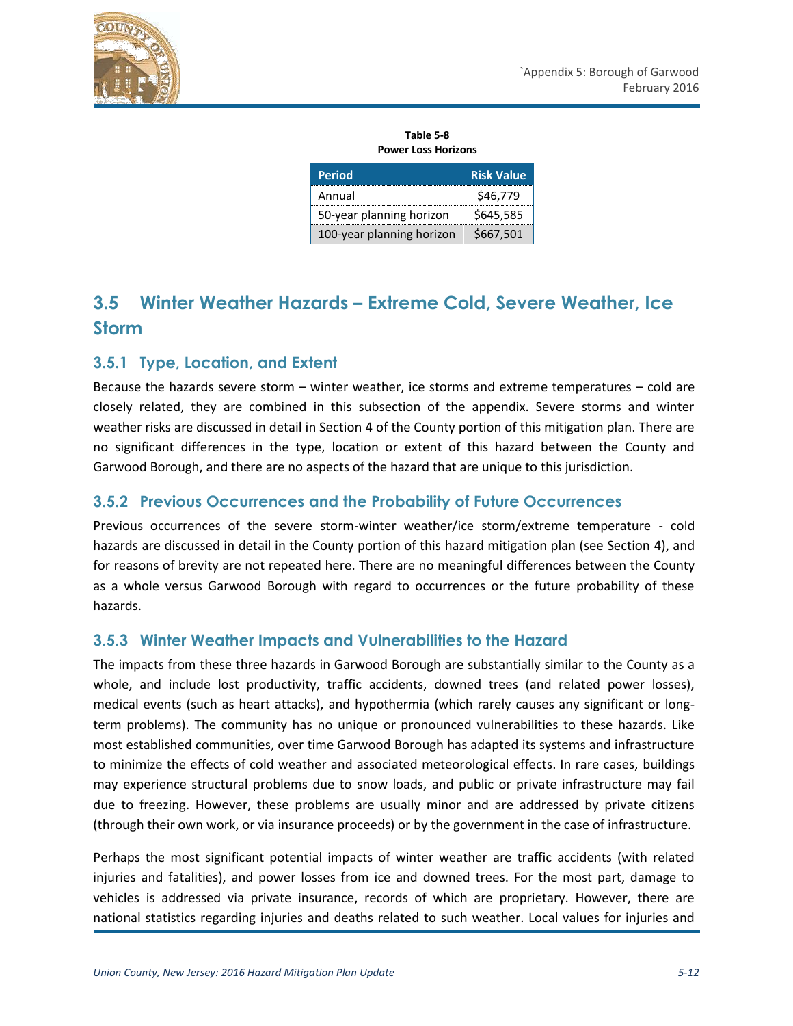

**Table 5-8 Power Loss Horizons**

| <b>Period</b>             | <b>Risk Value</b> |
|---------------------------|-------------------|
| Annual                    | \$46,779          |
| 50-year planning horizon  | \$645,585         |
| 100-year planning horizon | \$667,501         |

# **3.5 Winter Weather Hazards – Extreme Cold, Severe Weather, Ice Storm**

#### **3.5.1 Type, Location, and Extent**

Because the hazards severe storm – winter weather, ice storms and extreme temperatures – cold are closely related, they are combined in this subsection of the appendix. Severe storms and winter weather risks are discussed in detail in Section 4 of the County portion of this mitigation plan. There are no significant differences in the type, location or extent of this hazard between the County and Garwood Borough, and there are no aspects of the hazard that are unique to this jurisdiction.

#### **3.5.2 Previous Occurrences and the Probability of Future Occurrences**

Previous occurrences of the severe storm-winter weather/ice storm/extreme temperature - cold hazards are discussed in detail in the County portion of this hazard mitigation plan (see Section 4), and for reasons of brevity are not repeated here. There are no meaningful differences between the County as a whole versus Garwood Borough with regard to occurrences or the future probability of these hazards.

#### **3.5.3 Winter Weather Impacts and Vulnerabilities to the Hazard**

The impacts from these three hazards in Garwood Borough are substantially similar to the County as a whole, and include lost productivity, traffic accidents, downed trees (and related power losses), medical events (such as heart attacks), and hypothermia (which rarely causes any significant or longterm problems). The community has no unique or pronounced vulnerabilities to these hazards. Like most established communities, over time Garwood Borough has adapted its systems and infrastructure to minimize the effects of cold weather and associated meteorological effects. In rare cases, buildings may experience structural problems due to snow loads, and public or private infrastructure may fail due to freezing. However, these problems are usually minor and are addressed by private citizens (through their own work, or via insurance proceeds) or by the government in the case of infrastructure.

Perhaps the most significant potential impacts of winter weather are traffic accidents (with related injuries and fatalities), and power losses from ice and downed trees. For the most part, damage to vehicles is addressed via private insurance, records of which are proprietary. However, there are national statistics regarding injuries and deaths related to such weather. Local values for injuries and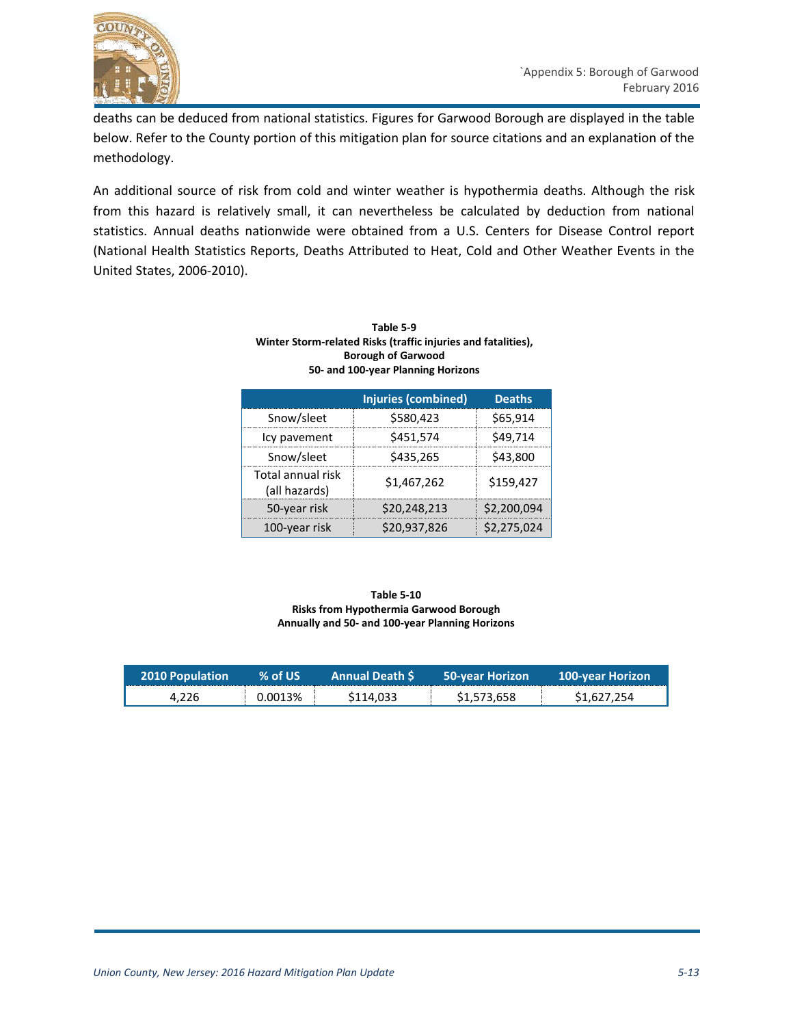

deaths can be deduced from national statistics. Figures for Garwood Borough are displayed in the table below. Refer to the County portion of this mitigation plan for source citations and an explanation of the methodology.

An additional source of risk from cold and winter weather is hypothermia deaths. Although the risk from this hazard is relatively small, it can nevertheless be calculated by deduction from national statistics. Annual deaths nationwide were obtained from a U.S. Centers for Disease Control report (National Health Statistics Reports, Deaths Attributed to Heat, Cold and Other Weather Events in the United States, 2006-2010).

| Table 5-9                                                     |               |  |  |
|---------------------------------------------------------------|---------------|--|--|
| Winter Storm-related Risks (traffic injuries and fatalities), |               |  |  |
| <b>Borough of Garwood</b>                                     |               |  |  |
| 50- and 100-year Planning Horizons                            |               |  |  |
|                                                               |               |  |  |
| Injuries (combined)                                           | <b>Deaths</b> |  |  |
|                                                               |               |  |  |

|                                    | Injuries (combined) | Deaths      |
|------------------------------------|---------------------|-------------|
| Snow/sleet                         | \$580,423           | \$65,914    |
| Icy pavement                       | \$451,574           | \$49,714    |
| Snow/sleet                         | \$435,265           | \$43,800    |
| Total annual risk<br>(all hazards) | \$1.467.262         | \$159.427   |
| 50-year risk                       | \$20,248,213        | \$2,200,094 |
| 100-year risk                      | \$20,937,826        | \$2,275,024 |

#### **Table 5-10 Risks from Hypothermia Garwood Borough Annually and 50- and 100-year Planning Horizons**

| <b>2010 Population</b> | $%$ of US | <b>Annual Death S</b> | <b>50-year Horizon</b> | <b>100-year Horizon</b> |
|------------------------|-----------|-----------------------|------------------------|-------------------------|
| 4.226                  | 0.0013%   | \$114.033             | \$1,573,658            | \$1,627,254             |

П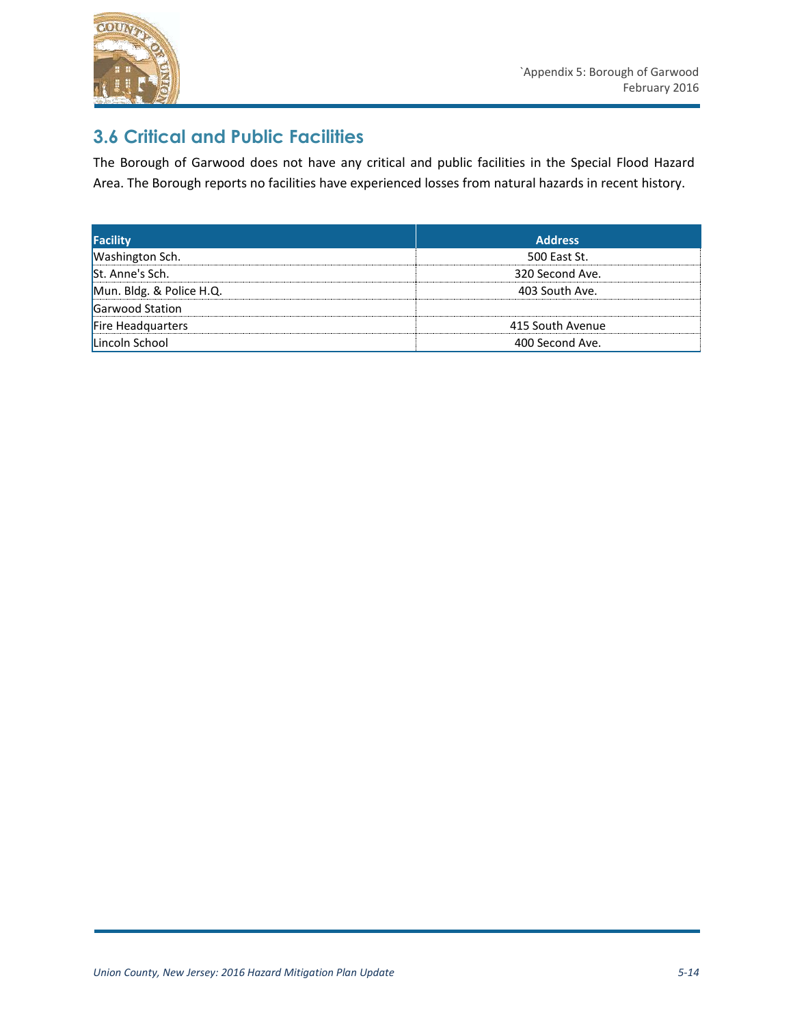

# **3.6 Critical and Public Facilities**

The Borough of Garwood does not have any critical and public facilities in the Special Flood Hazard Area. The Borough reports no facilities have experienced losses from natural hazards in recent history.

| <b>Facility</b>          | <b>Address</b>   |
|--------------------------|------------------|
| <b>Washington Sch.</b>   | 500 East St.     |
| St. Anne's Sch.          | 320 Second Ave.  |
| Mun. Bldg. & Police H.Q. | 403 South Ave.   |
| Garwood Station          |                  |
| Fire Headquarters        | 415 South Avenue |
| Lincoln School           | 400 Second Ave.  |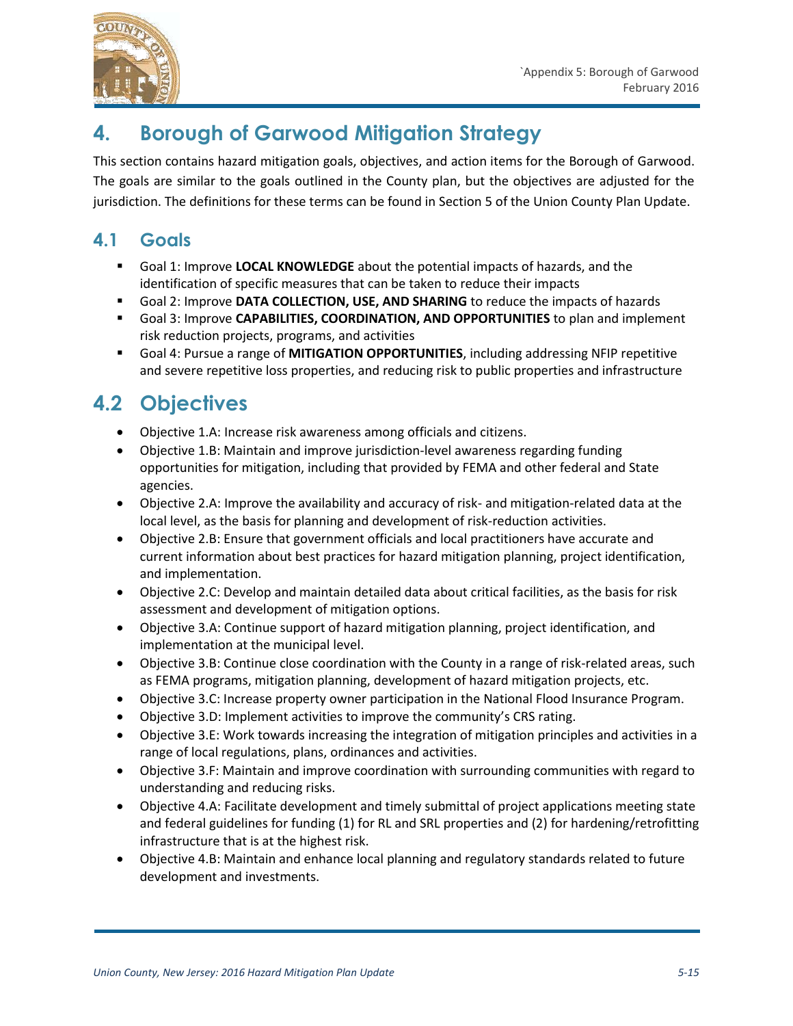

# **4. Borough of Garwood Mitigation Strategy**

This section contains hazard mitigation goals, objectives, and action items for the Borough of Garwood. The goals are similar to the goals outlined in the County plan, but the objectives are adjusted for the jurisdiction. The definitions for these terms can be found in Section 5 of the Union County Plan Update.

# **4.1 Goals**

- Goal 1: Improve **LOCAL KNOWLEDGE** about the potential impacts of hazards, and the identification of specific measures that can be taken to reduce their impacts
- Goal 2: Improve **DATA COLLECTION, USE, AND SHARING** to reduce the impacts of hazards
- Goal 3: Improve **CAPABILITIES, COORDINATION, AND OPPORTUNITIES** to plan and implement risk reduction projects, programs, and activities
- Goal 4: Pursue a range of **MITIGATION OPPORTUNITIES**, including addressing NFIP repetitive and severe repetitive loss properties, and reducing risk to public properties and infrastructure

# **4.2 Objectives**

- Objective 1.A: Increase risk awareness among officials and citizens.
- Objective 1.B: Maintain and improve jurisdiction-level awareness regarding funding opportunities for mitigation, including that provided by FEMA and other federal and State agencies.
- Objective 2.A: Improve the availability and accuracy of risk- and mitigation-related data at the local level, as the basis for planning and development of risk-reduction activities.
- Objective 2.B: Ensure that government officials and local practitioners have accurate and current information about best practices for hazard mitigation planning, project identification, and implementation.
- Objective 2.C: Develop and maintain detailed data about critical facilities, as the basis for risk assessment and development of mitigation options.
- Objective 3.A: Continue support of hazard mitigation planning, project identification, and implementation at the municipal level.
- Objective 3.B: Continue close coordination with the County in a range of risk-related areas, such as FEMA programs, mitigation planning, development of hazard mitigation projects, etc.
- Objective 3.C: Increase property owner participation in the National Flood Insurance Program.
- Objective 3.D: Implement activities to improve the community's CRS rating.
- Objective 3.E: Work towards increasing the integration of mitigation principles and activities in a range of local regulations, plans, ordinances and activities.
- Objective 3.F: Maintain and improve coordination with surrounding communities with regard to understanding and reducing risks.
- Objective 4.A: Facilitate development and timely submittal of project applications meeting state and federal guidelines for funding (1) for RL and SRL properties and (2) for hardening/retrofitting infrastructure that is at the highest risk.
- Objective 4.B: Maintain and enhance local planning and regulatory standards related to future development and investments.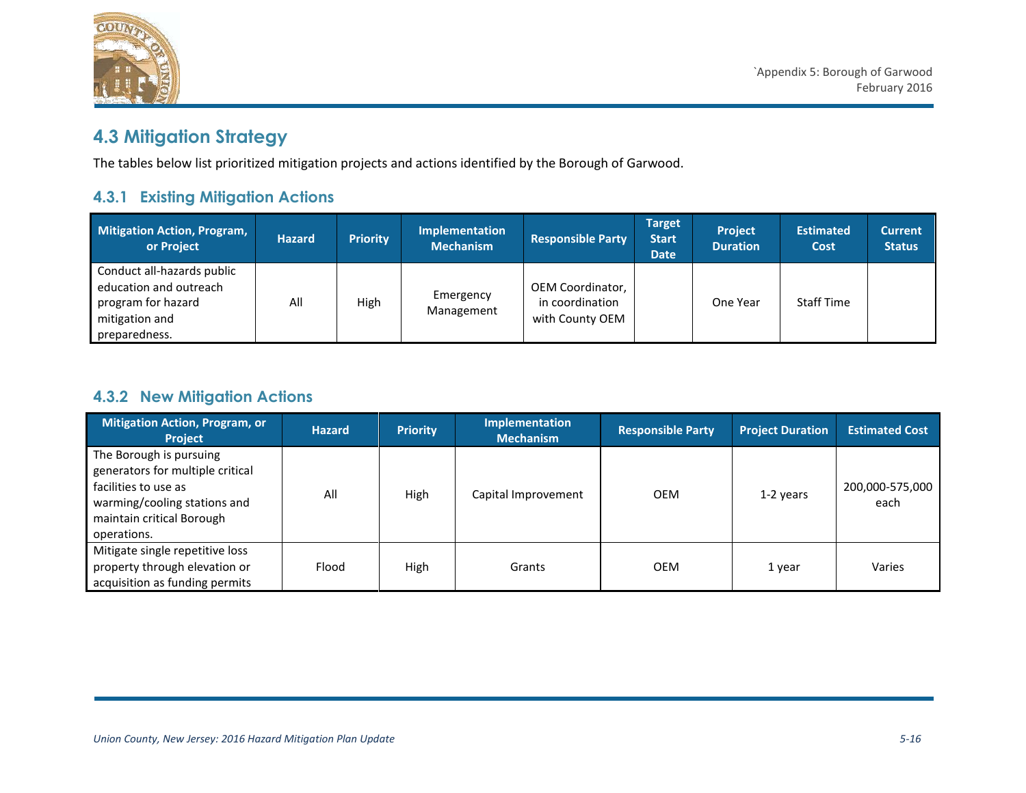

# **4.3 Mitigation Strategy**

The tables below list prioritized mitigation projects and actions identified by the Borough of Garwood.

### **4.3.1 Existing Mitigation Actions**

| <b>Mitigation Action, Program,</b><br>or Project                                                              | <b>Hazard</b> | <b>Priority</b> | <b>Implementation</b><br><b>Mechanism</b> | <b>Responsible Party</b>                               | <b>Target</b><br><b>Start</b><br><b>Date</b> | <b>Project</b><br><b>Duration</b> | <b>Estimated</b><br>Cost | <b>Current</b><br><b>Status</b> |
|---------------------------------------------------------------------------------------------------------------|---------------|-----------------|-------------------------------------------|--------------------------------------------------------|----------------------------------------------|-----------------------------------|--------------------------|---------------------------------|
| Conduct all-hazards public<br>education and outreach<br>program for hazard<br>mitigation and<br>preparedness. | All           | High            | Emergency<br>Management                   | OEM Coordinator,<br>in coordination<br>with County OEM |                                              | One Year                          | <b>Staff Time</b>        |                                 |

#### **4.3.2 New Mitigation Actions**

| <b>Mitigation Action, Program, or</b><br><b>Project</b>                                                                                                         | <b>Hazard</b> | <b>Priority</b> | Implementation<br><b>Mechanism</b> | <b>Responsible Party</b> | <b>Project Duration</b> | <b>Estimated Cost</b>   |
|-----------------------------------------------------------------------------------------------------------------------------------------------------------------|---------------|-----------------|------------------------------------|--------------------------|-------------------------|-------------------------|
| The Borough is pursuing<br>generators for multiple critical<br>facilities to use as<br>warming/cooling stations and<br>maintain critical Borough<br>operations. | All           | High            | Capital Improvement                | <b>OEM</b>               | 1-2 years               | 200,000-575,000<br>each |
| Mitigate single repetitive loss<br>property through elevation or<br>acquisition as funding permits                                                              | Flood         | High            | Grants                             | <b>OEM</b>               | 1 year                  | Varies                  |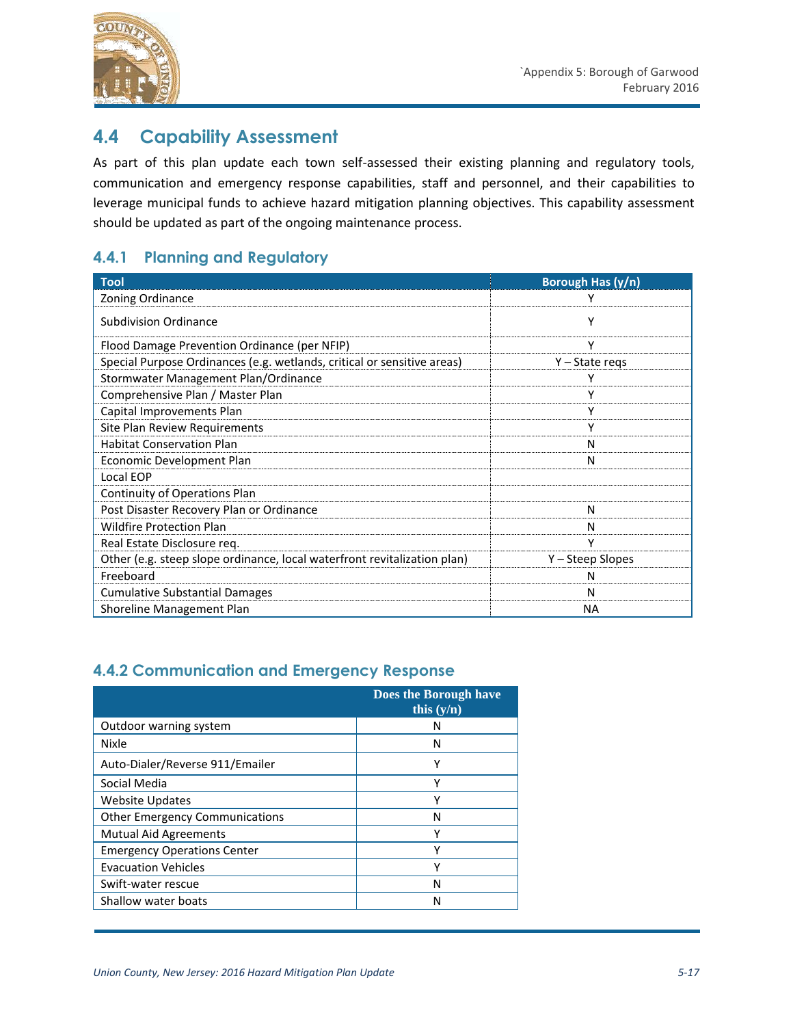

### **4.4 Capability Assessment**

As part of this plan update each town self-assessed their existing planning and regulatory tools, communication and emergency response capabilities, staff and personnel, and their capabilities to leverage municipal funds to achieve hazard mitigation planning objectives. This capability assessment should be updated as part of the ongoing maintenance process.

#### **4.4.1 Planning and Regulatory**

| <b>Tool</b>                                                              | Borough Has (y/n) |
|--------------------------------------------------------------------------|-------------------|
| Zoning Ordinance                                                         |                   |
| <b>Subdivision Ordinance</b>                                             | Υ                 |
| Flood Damage Prevention Ordinance (per NFIP)                             | ٧                 |
| Special Purpose Ordinances (e.g. wetlands, critical or sensitive areas)  | $Y - State$ regs  |
| Stormwater Management Plan/Ordinance                                     | γ                 |
| Comprehensive Plan / Master Plan                                         | γ                 |
| Capital Improvements Plan                                                | γ                 |
| Site Plan Review Requirements                                            |                   |
| <b>Habitat Conservation Plan</b>                                         | N                 |
| Economic Development Plan                                                | N                 |
| Local EOP                                                                |                   |
| Continuity of Operations Plan                                            |                   |
| Post Disaster Recovery Plan or Ordinance                                 | N                 |
| <b>Wildfire Protection Plan</b>                                          | N                 |
| Real Estate Disclosure req.                                              | γ                 |
| Other (e.g. steep slope ordinance, local waterfront revitalization plan) | Y – Steep Slopes  |
| Freeboard                                                                | N                 |
| <b>Cumulative Substantial Damages</b>                                    | N                 |
| Shoreline Management Plan                                                | ΝA                |

#### **4.4.2 Communication and Emergency Response**

|                                       | Does the Borough have<br>this $(v/n)$ |
|---------------------------------------|---------------------------------------|
| Outdoor warning system                | N                                     |
| Nixle                                 | N                                     |
| Auto-Dialer/Reverse 911/Emailer       | Υ                                     |
| Social Media                          | Υ                                     |
| <b>Website Updates</b>                | Υ                                     |
| <b>Other Emergency Communications</b> | Ν                                     |
| <b>Mutual Aid Agreements</b>          | ν                                     |
| <b>Emergency Operations Center</b>    | γ                                     |
| <b>Evacuation Vehicles</b>            | γ                                     |
| Swift-water rescue                    | Ν                                     |
| Shallow water boats                   | Ν                                     |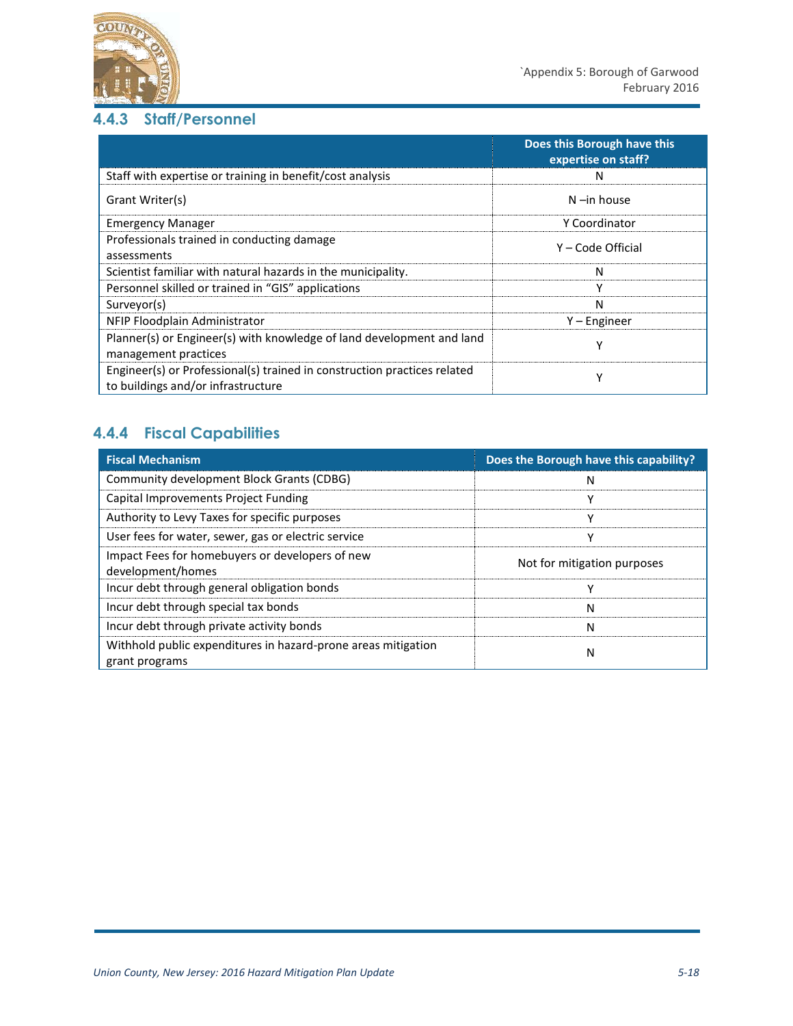

#### **4.4.3 Staff/Personnel**

|                                                                                                                | Does this Borough have this<br>expertise on staff? |
|----------------------------------------------------------------------------------------------------------------|----------------------------------------------------|
| Staff with expertise or training in benefit/cost analysis                                                      | N                                                  |
| Grant Writer(s)                                                                                                | $N$ -in house                                      |
| <b>Emergency Manager</b>                                                                                       | Y Coordinator                                      |
| Professionals trained in conducting damage<br>assessments                                                      | Y – Code Official                                  |
| Scientist familiar with natural hazards in the municipality.                                                   | N                                                  |
| Personnel skilled or trained in "GIS" applications                                                             | ۷                                                  |
| Surveyor(s)                                                                                                    | N                                                  |
| NFIP Floodplain Administrator                                                                                  | $Y$ – Engineer                                     |
| Planner(s) or Engineer(s) with knowledge of land development and land<br>management practices                  | v                                                  |
| Engineer(s) or Professional(s) trained in construction practices related<br>to buildings and/or infrastructure | ۷                                                  |

### **4.4.4 Fiscal Capabilities**

| <b>Fiscal Mechanism</b>                                                         | Does the Borough have this capability? |
|---------------------------------------------------------------------------------|----------------------------------------|
| Community development Block Grants (CDBG)                                       | N                                      |
| Capital Improvements Project Funding                                            | ν                                      |
| Authority to Levy Taxes for specific purposes                                   | v                                      |
| User fees for water, sewer, gas or electric service                             | ν                                      |
| Impact Fees for homebuyers or developers of new<br>development/homes            | Not for mitigation purposes            |
| Incur debt through general obligation bonds                                     | ν                                      |
| Incur debt through special tax bonds                                            | N                                      |
| Incur debt through private activity bonds                                       | N                                      |
| Withhold public expenditures in hazard-prone areas mitigation<br>grant programs | N                                      |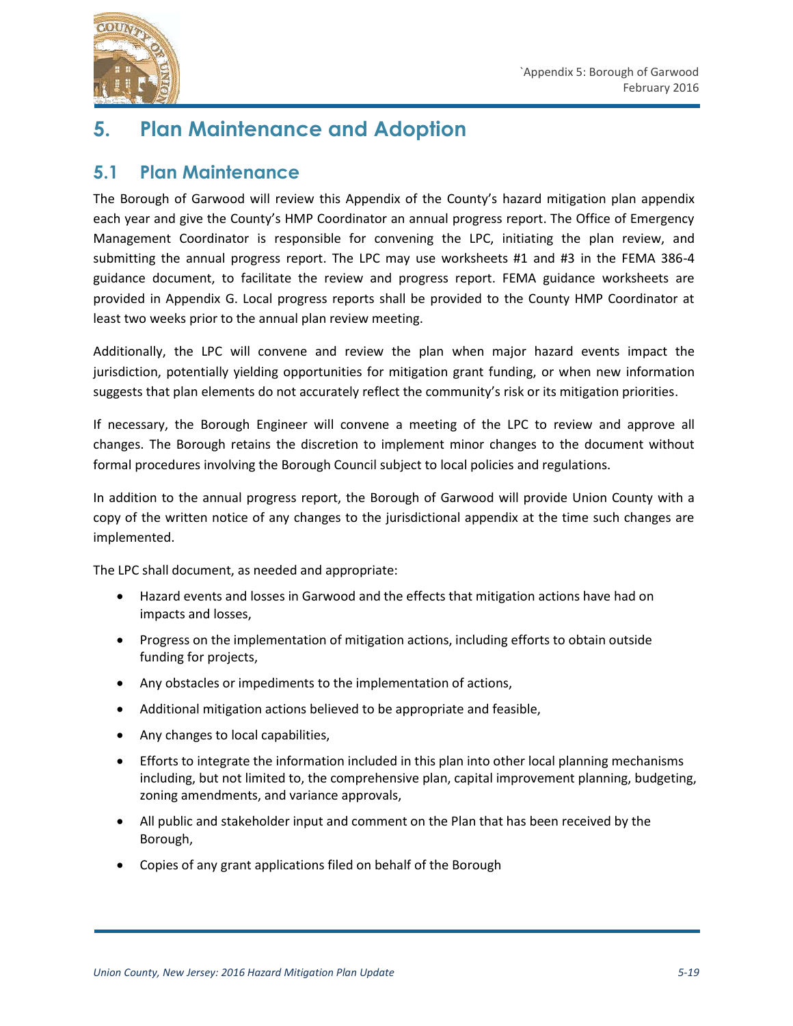

# **5. Plan Maintenance and Adoption**

### **5.1 Plan Maintenance**

The Borough of Garwood will review this Appendix of the County's hazard mitigation plan appendix each year and give the County's HMP Coordinator an annual progress report. The Office of Emergency Management Coordinator is responsible for convening the LPC, initiating the plan review, and submitting the annual progress report. The LPC may use worksheets #1 and #3 in the FEMA 386-4 guidance document, to facilitate the review and progress report. FEMA guidance worksheets are provided in Appendix G. Local progress reports shall be provided to the County HMP Coordinator at least two weeks prior to the annual plan review meeting.

Additionally, the LPC will convene and review the plan when major hazard events impact the jurisdiction, potentially yielding opportunities for mitigation grant funding, or when new information suggests that plan elements do not accurately reflect the community's risk or its mitigation priorities.

If necessary, the Borough Engineer will convene a meeting of the LPC to review and approve all changes. The Borough retains the discretion to implement minor changes to the document without formal procedures involving the Borough Council subject to local policies and regulations.

In addition to the annual progress report, the Borough of Garwood will provide Union County with a copy of the written notice of any changes to the jurisdictional appendix at the time such changes are implemented.

The LPC shall document, as needed and appropriate:

- Hazard events and losses in Garwood and the effects that mitigation actions have had on impacts and losses,
- Progress on the implementation of mitigation actions, including efforts to obtain outside funding for projects,
- Any obstacles or impediments to the implementation of actions,
- Additional mitigation actions believed to be appropriate and feasible,
- Any changes to local capabilities,
- Efforts to integrate the information included in this plan into other local planning mechanisms including, but not limited to, the comprehensive plan, capital improvement planning, budgeting, zoning amendments, and variance approvals,
- All public and stakeholder input and comment on the Plan that has been received by the Borough,
- Copies of any grant applications filed on behalf of the Borough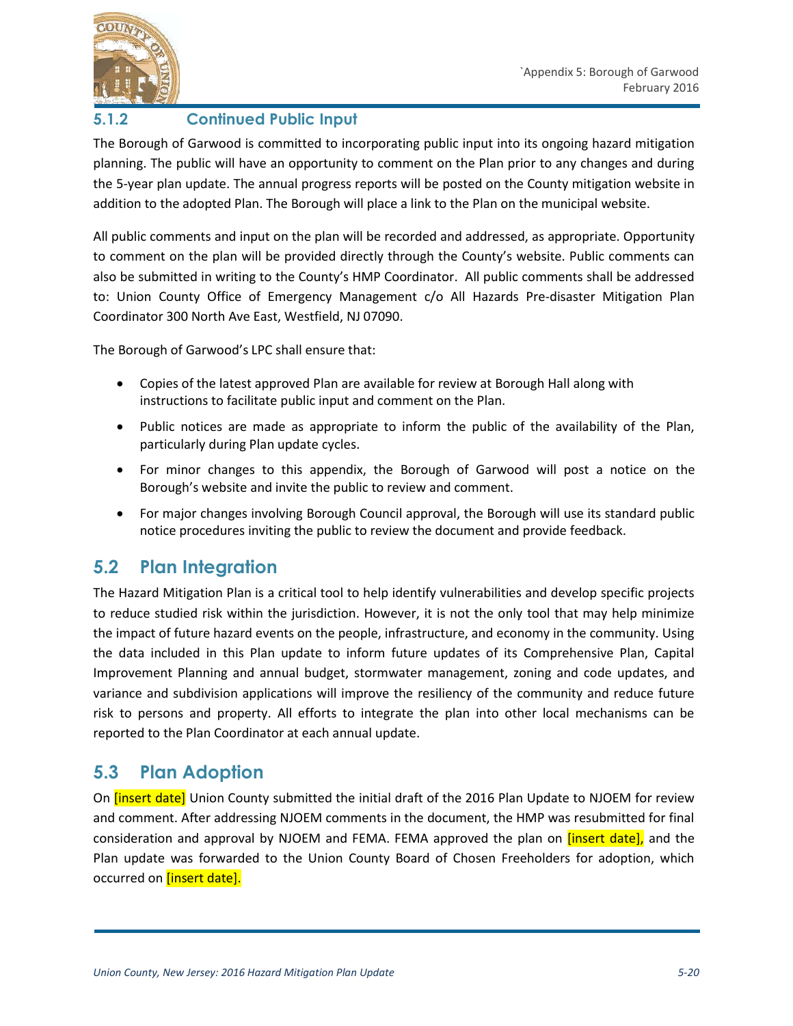



### **5.1.2 Continued Public Input**

The Borough of Garwood is committed to incorporating public input into its ongoing hazard mitigation planning. The public will have an opportunity to comment on the Plan prior to any changes and during the 5-year plan update. The annual progress reports will be posted on the County mitigation website in addition to the adopted Plan. The Borough will place a link to the Plan on the municipal website.

All public comments and input on the plan will be recorded and addressed, as appropriate. Opportunity to comment on the plan will be provided directly through the County's website. Public comments can also be submitted in writing to the County's HMP Coordinator. All public comments shall be addressed to: Union County Office of Emergency Management c/o All Hazards Pre-disaster Mitigation Plan Coordinator 300 North Ave East, Westfield, NJ 07090.

The Borough of Garwood's LPC shall ensure that:

- Copies of the latest approved Plan are available for review at Borough Hall along with instructions to facilitate public input and comment on the Plan.
- Public notices are made as appropriate to inform the public of the availability of the Plan, particularly during Plan update cycles.
- For minor changes to this appendix, the Borough of Garwood will post a notice on the Borough's website and invite the public to review and comment.
- For major changes involving Borough Council approval, the Borough will use its standard public notice procedures inviting the public to review the document and provide feedback.

## **5.2 Plan Integration**

The Hazard Mitigation Plan is a critical tool to help identify vulnerabilities and develop specific projects to reduce studied risk within the jurisdiction. However, it is not the only tool that may help minimize the impact of future hazard events on the people, infrastructure, and economy in the community. Using the data included in this Plan update to inform future updates of its Comprehensive Plan, Capital Improvement Planning and annual budget, stormwater management, zoning and code updates, and variance and subdivision applications will improve the resiliency of the community and reduce future risk to persons and property. All efforts to integrate the plan into other local mechanisms can be reported to the Plan Coordinator at each annual update.

## **5.3 Plan Adoption**

On *[insert date]* Union County submitted the initial draft of the 2016 Plan Update to NJOEM for review and comment. After addressing NJOEM comments in the document, the HMP was resubmitted for final consideration and approval by NJOEM and FEMA. FEMA approved the plan on **[insert date]**, and the Plan update was forwarded to the Union County Board of Chosen Freeholders for adoption, which occurred on **[insert date].**